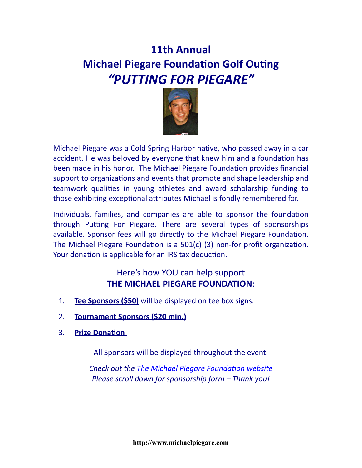## **11th Annual Michael Piegare Foundation Golf Outing** *"PUTTING FOR PIEGARE"*



Michael Piegare was a Cold Spring Harbor native, who passed away in a car accident. He was beloved by everyone that knew him and a foundation has been made in his honor. The Michael Piegare Foundation provides financial support to organizations and events that promote and shape leadership and teamwork qualities in young athletes and award scholarship funding to those exhibiting exceptional attributes Michael is fondly remembered for.

Individuals, families, and companies are able to sponsor the foundation through Putting For Piegare. There are several types of sponsorships available. Sponsor fees will go directly to the Michael Piegare Foundation. The Michael Piegare Foundation is a  $501(c)$  (3) non-for profit organization. Your donation is applicable for an IRS tax deduction.

## Here's how YOU can help support **THE MICHAEL PIEGARE FOUNDATION:**

- 1. **Tee Sponsors (\$50)** will be displayed on tee box signs.
- 2. **Tournament Sponsors (\$20 min.)**
- **3.** Prize Donation

All Sponsors will be displayed throughout the event.

*Check out the The Michael Piegare Foundation website Please scroll down for sponsorship form – Thank you!*